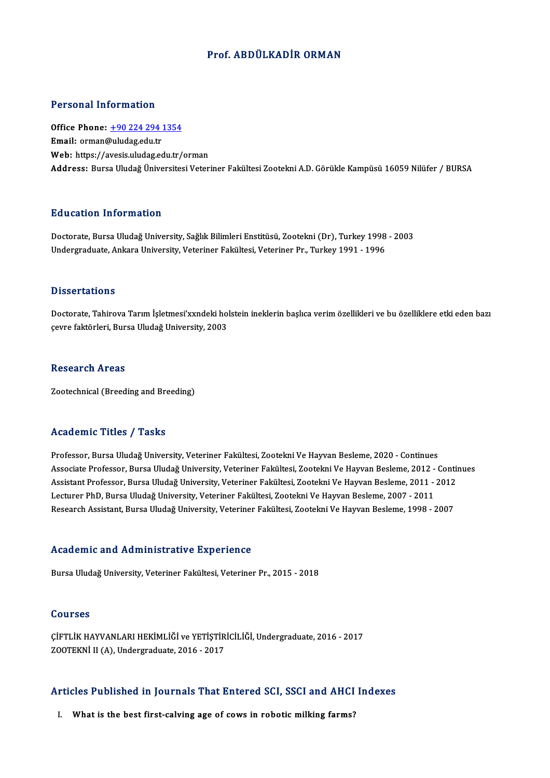## Prof. ABDÜLKADİR ORMAN

#### Personal Information

Personal Information<br>Office Phone: <u>+90 224 294 1354</u><br>Email: erman@uludes.edu.tr 1 STOOMAT INTO THESSITE<br>Office Phone: <u>+90 224 294</u><br>Email: orman[@uludag.edu.tr](tel:+90 224 294 1354) Email: orman@uludag.edu.tr<br>Web: https://avesis.uludag.edu.tr/orman Address: Bursa Uludağ Üniversitesi Veteriner Fakültesi Zootekni A.D. Görükle Kampüsü 16059 Nilüfer / BURSA

#### Education Information

Education Information<br>Doctorate, Bursa Uludağ University, Sağlık Bilimleri Enstitüsü, Zootekni (Dr), Turkey 1998 - 2003<br>Undergraduate Ankara University, Veteriner Fakültesi Veteriner Br. Turkey 1991, 1996 undergraduate, Antor mattor<br>Doctorate, Bursa Uludağ University, Sağlık Bilimleri Enstitüsü, Zootekni (Dr), Turkey 1998<br>Undergraduate, Ankara University, Veteriner Fakültesi, Veteriner Pr., Turkey 1991 - 1996 Undergraduate, Ankara University, Veteriner Fakültesi, Veteriner Pr., Turkey 1991 - 1996<br>Dissertations

Doctorate, Tahirova Tarım İşletmesi'xxndeki holstein ineklerin başlıca verim özellikleri ve bu özelliklere etki eden bazı çevre faktörleri, Bursa Uludağ University, 2003

#### **Research Areas**

Zootechnical (Breeding and Breeding)

### Academic Titles / Tasks

Professor, Bursa Uludağ University, Veteriner Fakültesi, Zootekni Ve Hayvan Besleme, 2020 - Continues Associate Artico 7 Austro<br>Professor, Bursa Uludağ University, Veteriner Fakültesi, Zootekni Ve Hayvan Besleme, 2020 - Continues<br>Associate Professor, Bursa Uludağ University, Veteriner Fakültesi, Zootekni Ve Hayvan Besleme, Professor, Bursa Uludağ University, Veteriner Fakültesi, Zootekni Ve Hayvan Besleme, 2020 - Continues<br>Associate Professor, Bursa Uludağ University, Veteriner Fakültesi, Zootekni Ve Hayvan Besleme, 2012 - Contin<br>Assistant P Associate Professor, Bursa Uludağ University, Veteriner Fakültesi, Zootekni Ve Hayvan Besleme, 2012 -<br>Assistant Professor, Bursa Uludağ University, Veteriner Fakültesi, Zootekni Ve Hayvan Besleme, 2011 -<br>Lecturer PhD, Burs Assistant Professor, Bursa Uludağ University, Veteriner Fakültesi, Zootekni Ve Hayvan Besleme, 2011 - 2012<br>Lecturer PhD, Bursa Uludağ University, Veteriner Fakültesi, Zootekni Ve Hayvan Besleme, 2007 - 2011<br>Research Assist

#### Academic and Administrative Experience

Bursa Uludağ University, Veteriner Fakültesi, Veteriner Pr., 2015 - 2018

#### Courses

Courses<br>ÇİFTLİK HAYVANLARI HEKİMLİĞİ ve YETİŞTİRİCİLİĞİ, Undergraduate, 2016 - 2017<br>ZOQTEKNİ IL(A), Undergraduate, 2016 - 2017 JOUTSSS<br>ÇİFTLİK HAYVANLARI HEKİMLİĞİ ve YETİŞTİR<br>ZOOTEKNİ II (A), Undergraduate, 2016 - 2017

## 2001EKNI II (A), Undergraduate, 2016 - 2017<br>Articles Published in Journals That Entered SCI, SSCI and AHCI Indexes rticles Published in Journals That Entered SCI, SSCI and AHCI<br>I. What is the best first-calving age of cows in robotic milking farms?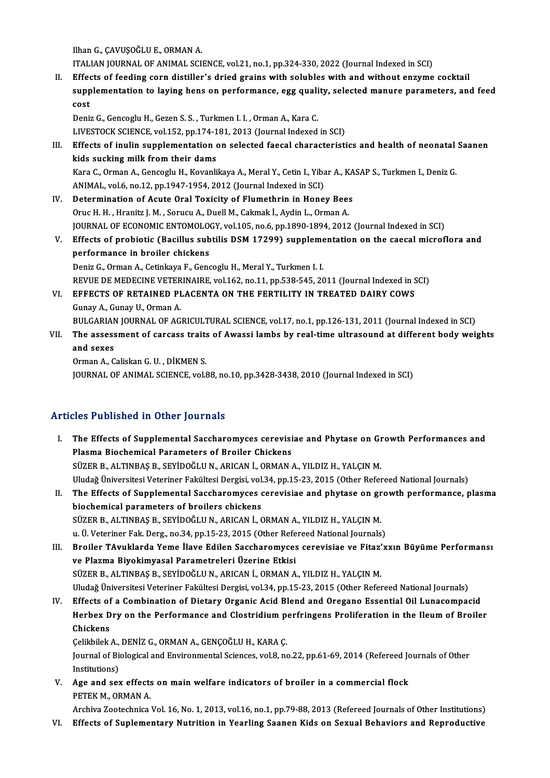IlhanG.,ÇAVUŞOĞLUE.,ORMANA.

ITALIANJOURNALOFANIMAL SCIENCE,vol.21,no.1,pp.324-330,2022 (Journal Indexed inSCI)

II. Effects of feeding corn distiller's dried grains with solubles with and without enzyme cocktail ITALIAN JOURNAL OF ANIMAL SCIENCE, vol.21, no.1, pp.324-330, 2022 (Journal Indexed in SCI)<br>Effects of feeding corn distiller's dried grains with solubles with and without enzyme cocktail<br>supplementation to laying hens on p Effed<br>supp<br>cost supplementation to laying hens on performance, egg quali<br>cost<br>Deniz G., Gencoglu H., Gezen S. S. , Turkmen I. I. , Orman A., Kara C.<br>LIVESTOCK SCIENCE vol.152, nn.174, 191, 2012 (Journal Indoved

cost<br>Deniz G., Gencoglu H., Gezen S. S. , Turkmen I. I. , Orman A., Kara C.<br>LIVESTOCK SCIENCE, vol.152, pp.174-181, 2013 (Journal Indexed in SCI)<br>Effects of inulin sunnlomentation on solosted foosal sharasteristi

Deniz G., Gencoglu H., Gezen S. S. , Turkmen I. I. , Orman A., Kara C.<br>LIVESTOCK SCIENCE, vol.152, pp.174-181, 2013 (Journal Indexed in SCI)<br>III. Effects of inulin supplementation on selected faecal characteristics and hea LIVESTOCK SCIENCE, vol.152, pp.174-1<br>Effects of inulin supplementation<br>kids sucking milk from their dams<br>Kara C. Orman A. Concocky H. Kovanki Effects of inulin supplementation on selected faecal characteristics and health of neonatal<br>kids sucking milk from their dams<br>Kara C., Orman A., Gencoglu H., Kovanlikaya A., Meral Y., Cetin I., Yibar A., KASAP S., Turkmen kids sucking milk from their dams<br>Kara C., Orman A., Gencoglu H., Kovanlikaya A., Meral Y., Cetin I., Yiba<br>ANIMAL, vol.6, no.12, pp.1947-1954, 2012 (Journal Indexed in SCI)<br>Determination of Aqute Oral Tovisity of Elumethri

- Kara C., Orman A., Gencoglu H., Kovanlikaya A., Meral Y., Cetin I., Yibar A., KA<br>ANIMAL, vol.6, no.12, pp.1947-1954, 2012 (Journal Indexed in SCI)<br>IV. Determination of Acute Oral Toxicity of Flumethrin in Honey Bees<br>Orue H ANIMAL, vol.6, no.12, pp.1947-1954, 2012 (Journal Indexed in SCI)<br>IV. Determination of Acute Oral Toxicity of Flumethrin in Honey Bees<br>Oruc H. H., Hranitz J. M., Sorucu A., Duell M., Cakmak İ., Aydin L., Orman A. Determination of Acute Oral Toxicity of Flumethrin in Honey Bees<br>Oruc H. H. , Hranitz J. M. , Sorucu A., Duell M., Cakmak İ., Aydin L., Orman A.<br>JOURNAL OF ECONOMIC ENTOMOLOGY, vol.105, no.6, pp.1890-1894, 2012 (Journal In Oruc H. H. , Hranitz J. M. , Sorucu A., Duell M., Cakmak İ., Aydin L., Orman A.<br>JOURNAL OF ECONOMIC ENTOMOLOGY, vol.105, no.6, pp.1890-1894, 2012 (Journal Indexed in SCI)<br>V. Effects of probiotic (Bacillus subtilis DSM 1729
- **JOURNAL OF ECONOMIC ENTOMOLO<br>Effects of probiotic (Bacillus sub<br>performance in broiler chickens**<br>Popiz C. Orman A. Cotinliaus E. Cons Effects of probiotic (Bacillus subtilis DSM 17299) suppleme<br>performance in broiler chickens<br>Deniz G., Orman A., Cetinkaya F., Gencoglu H., Meral Y., Turkmen I. I.<br>PEVUE DE MEDECINE VETERINAIRE .vol.162, no.11, np.538,545,3 performance in broiler chickens<br>Deniz G., Orman A., Cetinkaya F., Gencoglu H., Meral Y., Turkmen I. I.<br>REVUE DE MEDECINE VETERINAIRE, vol.162, no.11, pp.538-545, 2011 (Journal Indexed in SCI)<br>FEFECTS OF RETAINED BLACENTA O Deniz G., Orman A., Cetinkaya F., Gencoglu H., Meral Y., Turkmen I. I.<br>REVUE DE MEDECINE VETERINAIRE, vol.162, no.11, pp.538-545, 2011 (Journal Indexed in S<br>VI. EFFECTS OF RETAINED PLACENTA ON THE FERTILITY IN TREATED DAIR
- REVUE DE MEDECINE VETER<br>EFFECTS OF RETAINED PI<br>Gunay A., Gunay U., Orman A.<br>PIU CARIAN IOURNAL OF AC EFFECTS OF RETAINED PLACENTA ON THE FERTILITY IN TREATED DAIRY COWS<br>Gunay A., Gunay U., Orman A.<br>BULGARIAN JOURNAL OF AGRICULTURAL SCIENCE, vol.17, no.1, pp.126-131, 2011 (Journal Indexed in SCI)<br>The assessment of sarsess

Gunay A., Gunay U., Orman A.<br>BULGARIAN JOURNAL OF AGRICULTURAL SCIENCE, vol.17, no.1, pp.126-131, 2011 (Journal Indexed in SCI)<br>VII. The assessment of carcass traits of Awassi lambs by real-time ultrasound at different bod BULGARIAN<br>The assess<br>and sexes<br>Orman A.C The assessment of carcass traits<br>and sexes<br>Orman A., Caliskan G. U. , DİKMEN S.<br>JOUPMAL OF ANIMAL SCIENCE vel S

and sexes<br>Orman A., Caliskan G. U. , DİKMEN S.<br>JOURNAL OF ANIMAL SCIENCE, vol.88, no.10, pp.3428-3438, 2010 (Journal Indexed in SCI)

## Articles Published in Other Journals

- rticles Published in Other Journals<br>I. The Effects of Supplemental Saccharomyces cerevisiae and Phytase on Growth Performances and<br>Risema Bioshamical Persmatars of Prailar Chickans Plasma Biochemical Parameters of Broiler Chickens<br>Plasma Biochemical Parameters of Broiler Chickens<br>SÜZER R. ALTINRAS R. SEVIDOČLU N. ARICAN L. ORMAN Plasma Biochemical Parameters of Broiler Chickens<br>SÜZER B., ALTINBAŞ B., SEYİDOĞLU N., ARICAN İ., ORMAN A., YILDIZ H., YALÇIN M. Plasma Biochemical Parameters of Broiler Chickens<br>SÜZER B., ALTINBAŞ B., SEYİDOĞLU N., ARICAN İ., ORMAN A., YILDIZ H., YALÇIN M.<br>Uludağ Üniversitesi Veteriner Fakültesi Dergisi, vol.34, pp.15-23, 2015 (Other Refereed Natio
- II. The Effects of Supplemental Saccharomyces cerevisiae and phytase on growth performance, plasma<br>biochemical parameters of broilers chickens Uludağ Üniversitesi Veteriner Fakültesi Dergisi, vol.<br>The Effects of Supplemental Saccharomyces chickens<br>biochemical parameters of broilers chickens<br>SÜZER B. ALTINPAS B. SEVIDOČLU N. ARICAN İ. G The Effects of Supplemental Saccharomyces cerevisiae and phytase on gr<br>biochemical parameters of broilers chickens<br>SÜZER B., ALTINBAŞ B., SEYİDOĞLU N., ARICAN İ., ORMAN A., YILDIZ H., YALÇIN M.<br>u. Ü. Veteriner Fak Ders, no biochemical parameters of broilers chickens<br>SÜZER B., ALTINBAŞ B., SEYİDOĞLU N., ARICAN İ., ORMAN A., YILDIZ H., YALÇIN M.<br>u. Ü. Veteriner Fak. Derg., no.34, pp.15-23, 2015 (Other Refereed National Journals)<br>Proiler TAyukl u. Ü. Veteriner Fak. Derg., no.34, pp.15-23, 2015 (Other Refereed National Journals)<br>III. Broiler TAvuklarda Yeme İlave Edilen Saccharomyces cerevisiae ve Fitaz'xxın Büyüme Performansı
- ve Plazma Biyokimyasal Parametreleri Üzerine Etkisi SÜZER B., ALTINBAŞ B., SEYİDOĞLU N., ARICAN İ., ORMAN A., YILDIZ H., YALÇIN M. Uludağ Üniversitesi Veteriner Fakültesi Dergisi, vol.34, pp.15-23, 2015 (Other Refereed National Journals) SÜZER B., ALTINBAŞ B., SEYİDOĞLU N., ARICAN İ., ORMAN A., YILDIZ H., YALÇIN M.<br>Uludağ Üniversitesi Veteriner Fakültesi Dergisi, vol.34, pp.15-23, 2015 (Other Refereed National Journals)<br>IV. Effects of a Combination of Diet
- Uludağ Üniversitesi Veteriner Fakültesi Dergisi, vol.34, pp.15-23, 2015 (Other Refereed National Journals)<br>Effects of a Combination of Dietary Organic Acid Blend and Oregano Essential Oil Lunacompacid<br>Herbex Dry on the Per Effects of<br>Herbex D<br>Chickens<br>Colibilek Herbex Dry on the Performance and Clostridium p<br>Chickens<br>Çelikbilek A., DENİZ G., ORMAN A., GENÇOĞLU H., KARA Ç.<br>Journal of Biologiaal and Environmental Sciences vol.8, no

Chickens<br>Çelikbilek A., DENİZ G., ORMAN A., GENÇOĞLU H., KARA Ç.<br>Journal of Biological and Environmental Sciences, vol.8, no.22, pp.61-69, 2014 (Refereed Journals of Other<br>Institutions) Celikbilek A.,<br>Journal of Bio<br>Institutions)<br>Age and act Journal of Biological and Environmental Sciences, vol.8, no.22, pp.61-69, 2014 (Refereed Jonstitutions)<br>V. Age and sex effects on main welfare indicators of broiler in a commercial flock<br>PETELM OPMANA

Institutions)<br>Age and sex effects<br>PETEK M., ORMAN A.<br>Archive Zostechnice.

PETEK M., ORMAN A.<br>Archiva Zootechnica Vol. 16, No. 1, 2013, vol.16, no.1, pp.79-88, 2013 (Refereed Journals of Other Institutions) VI. Effects of Suplementary Nutrition in Yearling Saanen Kids on Sexual Behaviors and Reproductive